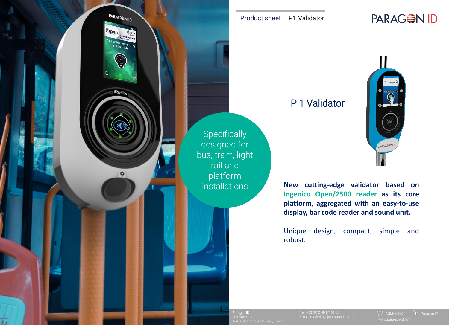

#### Product sheet – P1 Validator

## P 1 Validator

**New cutting-edge validator based on Ingenico Open/2500 reader as its core platform, aggregated with an easy-to-use display, bar code reader and sound unit.**

PARAGEN

Unique design, compact, simple and robust.

18410 Argent sur Sauldre, France

Paragon ID **Paragon ID Tel: +33 (0) 2 48 81 61 00** 

PARAGON ID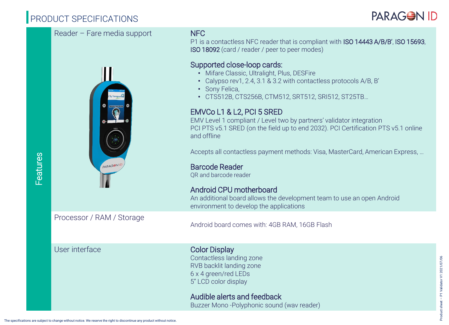# PRODUCT SPECIFICATIONS



P1 is a contactless NFC reader that is compliant with ISO 14443 A/B/B', ISO 15693, ISO 18092 (card / reader / peer to peer modes)

### Supported close-loop cards:

- Mifare Classic, Ultralight, Plus, DESFire
- Calypso rev1, 2.4, 3.1 & 3.2 with contactless protocols A/B, B'
- Sony Felica,
- CTS512B, CTS256B, CTM512, SRT512, SRI512, ST25TB…

### EMVCo L1 & L2, PCI 5 SRED

EMV Level 1 compliant / Level two by partners' validator integration PCI PTS v5.1 SRED (on the field up to end 2032). PCI Certification PTS v5.1 online and offline

Accepts all contactless payment methods: Visa, MasterCard, American Express, …

Barcode Reader QR and barcode reader

#### Android CPU motherboard An additional board allows the development team to use an open Android

Processor / RAM / Storage

Android board comes with: 4GB RAM, 16GB Flash

environment to develop the applications

#### User interface Color Display

Contactless landing zone RVB backlit landing zone 6 x 4 green/red LEDs 5" LCD color display

#### Audible alerts and feedback Buzzer Mono -Polyphonic sound (wav reader)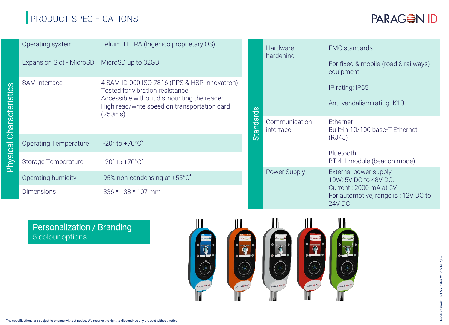# PRODUCT SPECIFICATIONS



| Characteristics | Operating system                            | Telium TETRA (Ingenico proprietary OS)                                                                                                                                                  |                  | Hardware<br>hardening      | <b>EMC</b> standards                                                                                                       |
|-----------------|---------------------------------------------|-----------------------------------------------------------------------------------------------------------------------------------------------------------------------------------------|------------------|----------------------------|----------------------------------------------------------------------------------------------------------------------------|
|                 | Expansion Slot - MicroSD MicroSD up to 32GB |                                                                                                                                                                                         |                  |                            | For fixed & mobile (road & railways)<br>equipment                                                                          |
|                 | SAM interface                               | 4 SAM ID-000 ISO 7816 (PPS & HSP Innovatron)<br>Tested for vibration resistance<br>Accessible without dismounting the reader<br>High read/write speed on transportation card<br>(250ms) |                  |                            | IP rating: IP65                                                                                                            |
|                 |                                             |                                                                                                                                                                                         | <b>Standards</b> |                            | Anti-vandalism rating IK10                                                                                                 |
|                 |                                             |                                                                                                                                                                                         |                  | Communication<br>interface | Ethernet<br>Built-in 10/100 base-T Ethernet<br>(RJ45)                                                                      |
|                 | <b>Operating Temperature</b>                | $-20^{\circ}$ to $+70^{\circ}$ C <sup>*</sup>                                                                                                                                           |                  |                            |                                                                                                                            |
| Physical        | Storage Temperature                         | $-20^{\circ}$ to $+70^{\circ}$ C <sup>*</sup>                                                                                                                                           |                  |                            | Bluetooth<br>BT 4.1 module (beacon mode)                                                                                   |
|                 | Operating humidity                          | 95% non-condensing at +55°C*                                                                                                                                                            |                  | Power Supply               | External power supply<br>10W: 5V DC to 48V DC.<br>Current: 2000 mA at 5V<br>For automotive, range is : 12V DC to<br>24V DC |
|                 | <b>Dimensions</b>                           | 336 * 138 * 107 mm                                                                                                                                                                      |                  |                            |                                                                                                                            |

### Personalization / Branding 5 colour options

Physical Characteristics